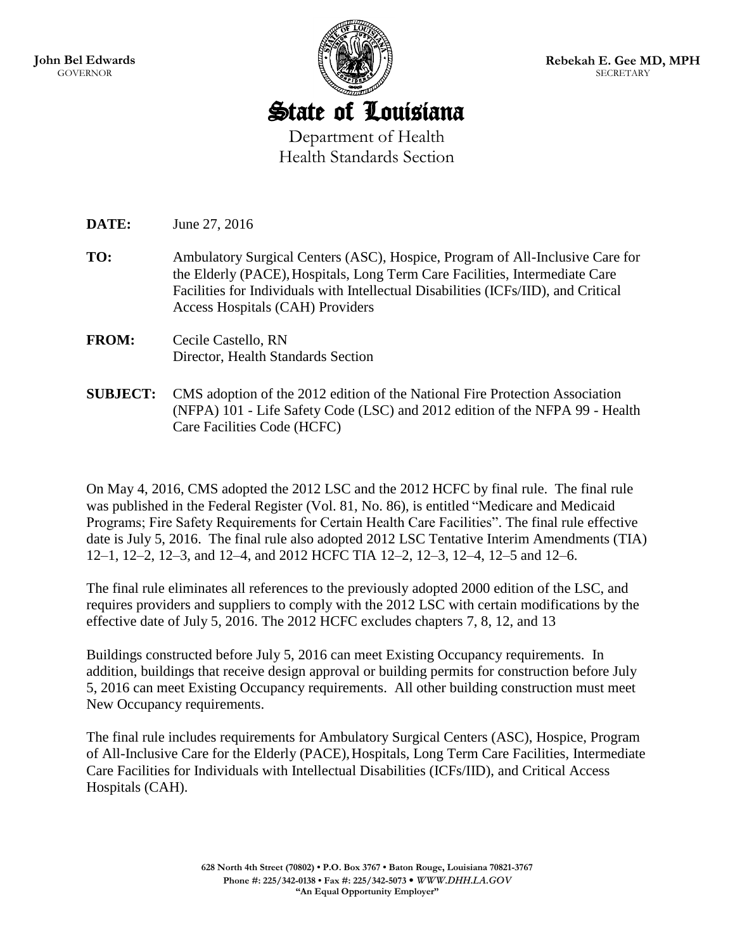

State of Louisiana Department of Health Health Standards Section

**DATE:** June 27, 2016

- **TO:** Ambulatory Surgical Centers (ASC), Hospice, Program of All-Inclusive Care for the Elderly (PACE),Hospitals, Long Term Care Facilities, Intermediate Care Facilities for Individuals with Intellectual Disabilities (ICFs/IID), and Critical Access Hospitals (CAH) Providers
- **FROM:** Cecile Castello, RN Director, Health Standards Section
- **SUBJECT:** CMS adoption of the 2012 edition of the National Fire Protection Association (NFPA) 101 - Life Safety Code (LSC) and 2012 edition of the NFPA 99 - Health Care Facilities Code (HCFC)

On May 4, 2016, CMS adopted the 2012 LSC and the 2012 HCFC by final rule. The final rule was published in the Federal Register (Vol. 81, No. 86), is entitled "Medicare and Medicaid Programs; Fire Safety Requirements for Certain Health Care Facilities". The final rule effective date is July 5, 2016. The final rule also adopted 2012 LSC Tentative Interim Amendments (TIA) 12–1, 12–2, 12–3, and 12–4, and 2012 HCFC TIA 12–2, 12–3, 12–4, 12–5 and 12–6.

The final rule eliminates all references to the previously adopted 2000 edition of the LSC, and requires providers and suppliers to comply with the 2012 LSC with certain modifications by the effective date of July 5, 2016. The 2012 HCFC excludes chapters 7, 8, 12, and 13

Buildings constructed before July 5, 2016 can meet Existing Occupancy requirements. In addition, buildings that receive design approval or building permits for construction before July 5, 2016 can meet Existing Occupancy requirements. All other building construction must meet New Occupancy requirements.

The final rule includes requirements for Ambulatory Surgical Centers (ASC), Hospice, Program of All-Inclusive Care for the Elderly (PACE),Hospitals, Long Term Care Facilities, Intermediate Care Facilities for Individuals with Intellectual Disabilities (ICFs/IID), and Critical Access Hospitals (CAH).